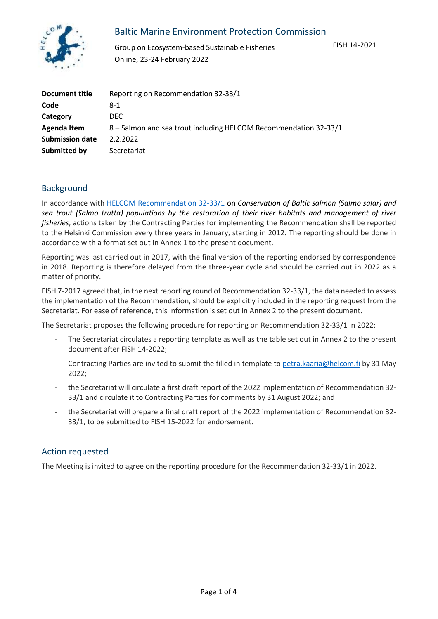

## Baltic Marine Environment Protection Commission

Group on Ecosystem-based Sustainable Fisheries Online, 23-24 February 2022

| Document title         | Reporting on Recommendation 32-33/1                              |
|------------------------|------------------------------------------------------------------|
| Code                   | 8-1                                                              |
| Category               | DEC.                                                             |
| Agenda Item            | 8 - Salmon and sea trout including HELCOM Recommendation 32-33/1 |
| <b>Submission date</b> | 2.2.2022                                                         |
| Submitted by           | Secretariat                                                      |

## Background

In accordance with [HELCOM Recommendation 32-33/1](http://helcom.fi/Recommendations/Rec%2032-33-1.pdf) on *Conservation of Baltic salmon (Salmo salar) and sea trout (Salmo trutta) populations by the restoration of their river habitats and management of river fisheries*, actions taken by the Contracting Parties for implementing the Recommendation shall be reported to the Helsinki Commission every three years in January, starting in 2012. The reporting should be done in accordance with a format set out in Annex 1 to the present document.

Reporting was last carried out in 2017, with the final version of the reporting endorsed by correspondence in 2018. Reporting is therefore delayed from the three-year cycle and should be carried out in 2022 as a matter of priority.

FISH 7-2017 agreed that, in the next reporting round of Recommendation 32-33/1, the data needed to assess the implementation of the Recommendation, should be explicitly included in the reporting request from the Secretariat. For ease of reference, this information is set out in Annex 2 to the present document.

The Secretariat proposes the following procedure for reporting on Recommendation 32-33/1 in 2022:

- The Secretariat circulates a reporting template as well as the table set out in Annex 2 to the present document after FISH 14-2022;
- Contracting Parties are invited to submit the filled in template to [petra.kaaria@helcom.fi](mailto:petra.kaaria@helcom.fi) by 31 May 2022;
- the Secretariat will circulate a first draft report of the 2022 implementation of Recommendation 32- 33/1 and circulate it to Contracting Parties for comments by 31 August 2022; and
- the Secretariat will prepare a final draft report of the 2022 implementation of Recommendation 32- 33/1, to be submitted to FISH 15-2022 for endorsement.

## Action requested

The Meeting is invited to agree on the reporting procedure for the Recommendation 32-33/1 in 2022.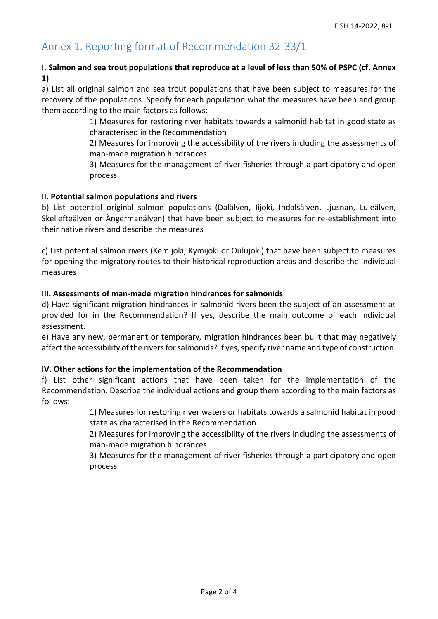# Annex 1. Reporting format of Recommendation 32-33/1

## **I. Salmon and sea trout populations that reproduce at a level of less than 50% of PSPC (cf. Annex 1)**

a) List all original salmon and sea trout populations that have been subject to measures for the recovery of the populations. Specify for each population what the measures have been and group them according to the main factors as follows:

> 1) Measures for restoring river habitats towards a salmonid habitat in good state as characterised in the Recommendation

> 2) Measures for improving the accessibility of the rivers including the assessments of man-made migration hindrances

> 3) Measures for the management of river fisheries through a participatory and open process

#### **II. Potential salmon populations and rivers**

b) List potential original salmon populations (Dalälven, Iijoki, Indalsälven, Ljusnan, Luleälven, Skellefteälven or Ångermanälven) that have been subject to measures for re-establishment into their native rivers and describe the measures

c) List potential salmon rivers (Kemijoki, Kymijoki or Oulujoki) that have been subject to measures for opening the migratory routes to their historical reproduction areas and describe the individual measures

#### **III. Assessments of man-made migration hindrances for salmonids**

d) Have significant migration hindrances in salmonid rivers been the subject of an assessment as provided for in the Recommendation? If yes, describe the main outcome of each individual assessment.

e) Have any new, permanent or temporary, migration hindrances been built that may negatively affect the accessibility of the rivers for salmonids? If yes, specify river name and type of construction.

#### **IV. Other actions for the implementation of the Recommendation**

f) List other significant actions that have been taken for the implementation of the Recommendation. Describe the individual actions and group them according to the main factors as follows:

> 1) Measures for restoring river waters or habitats towards a salmonid habitat in good state as characterised in the Recommendation

> 2) Measures for improving the accessibility of the rivers including the assessments of man-made migration hindrances

> 3) Measures for the management of river fisheries through a participatory and open process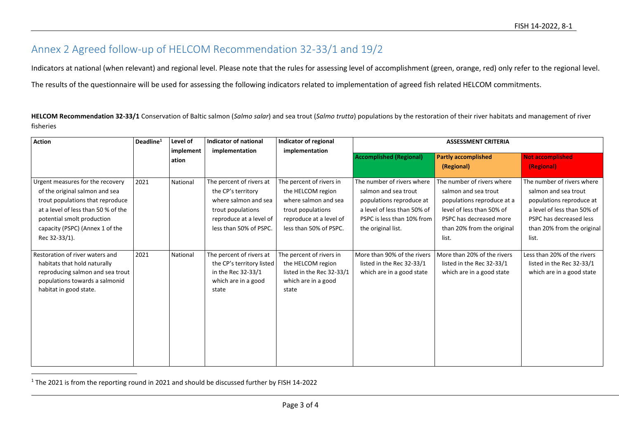# Annex 2 Agreed follow-up of HELCOM Recommendation 32-33/1 and 19/2

Indicators at national (when relevant) and regional level. Please note that the rules for assessing level of accomplishment (green, orange, red) only refer to the regional level. The results of the questionnaire will be used for assessing the following indicators related to implementation of agreed fish related HELCOM commitments.

**HELCOM Recommendation 32-33/1** Conservation of Baltic salmon (*Salmo salar*) and sea trout (*Salmo trutta*) populations by the restoration of their river habitats and management of river fisheries

| <b>Action</b>                                                                                                                                                                                                                   | Deadline <sup>1</sup> | Level of           | <b>Indicator of national</b>                                                                                                                     | Indicator of regional                                                                                                                           | <b>ASSESSMENT CRITERIA</b>                                                                                                                                        |                                                                                                                                                                                 |                                                                                                                                                                                 |
|---------------------------------------------------------------------------------------------------------------------------------------------------------------------------------------------------------------------------------|-----------------------|--------------------|--------------------------------------------------------------------------------------------------------------------------------------------------|-------------------------------------------------------------------------------------------------------------------------------------------------|-------------------------------------------------------------------------------------------------------------------------------------------------------------------|---------------------------------------------------------------------------------------------------------------------------------------------------------------------------------|---------------------------------------------------------------------------------------------------------------------------------------------------------------------------------|
|                                                                                                                                                                                                                                 |                       | implement<br>ation | implementation                                                                                                                                   | implementation                                                                                                                                  | <b>Accomplished (Regional)</b>                                                                                                                                    | <b>Partly accomplished</b><br>(Regional)                                                                                                                                        | <b>Not accomplished</b><br>(Regional)                                                                                                                                           |
| Urgent measures for the recovery<br>of the original salmon and sea<br>trout populations that reproduce<br>at a level of less than 50 % of the<br>potential smolt production<br>capacity (PSPC) (Annex 1 of the<br>Rec 32-33/1). | 2021                  | National           | The percent of rivers at<br>the CP's territory<br>where salmon and sea<br>trout populations<br>reproduce at a level of<br>less than 50% of PSPC. | The percent of rivers in<br>the HELCOM region<br>where salmon and sea<br>trout populations<br>reproduce at a level of<br>less than 50% of PSPC. | The number of rivers where<br>salmon and sea trout<br>populations reproduce at<br>a level of less than 50% of<br>PSPC is less than 10% from<br>the original list. | The number of rivers where<br>salmon and sea trout<br>populations reproduce at a<br>level of less than 50% of<br>PSPC has decreased more<br>than 20% from the original<br>list. | The number of rivers where<br>salmon and sea trout<br>populations reproduce at<br>a level of less than 50% of<br>PSPC has decreased less<br>than 20% from the original<br>list. |
| Restoration of river waters and<br>habitats that hold naturally<br>reproducing salmon and sea trout<br>populations towards a salmonid<br>habitat in good state.                                                                 | 2021                  | National           | The percent of rivers at<br>the CP's territory listed<br>in the Rec 32-33/1<br>which are in a good<br>state                                      | The percent of rivers in<br>the HELCOM region<br>listed in the Rec 32-33/1<br>which are in a good<br>state                                      | More than 90% of the rivers<br>listed in the Rec 32-33/1<br>which are in a good state                                                                             | More than 20% of the rivers<br>listed in the Rec 32-33/1<br>which are in a good state                                                                                           | Less than 20% of the rivers<br>listed in the Rec 32-33/1<br>which are in a good state                                                                                           |

<sup>1</sup> The 2021 is from the reporting round in 2021 and should be discussed further by FISH 14-2022